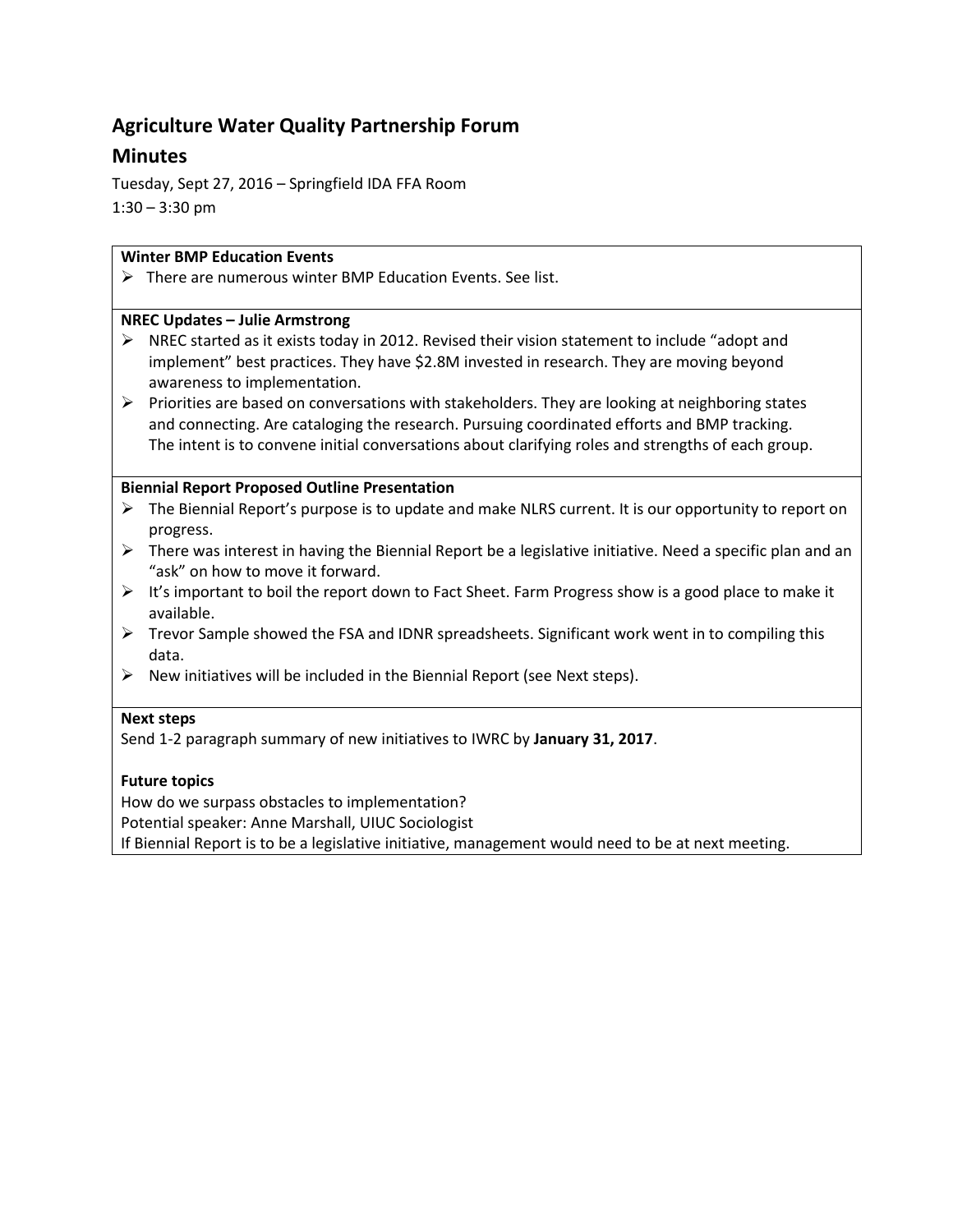# **Agriculture Water Quality Partnership Forum**

# **Minutes**

Tuesday, Sept 27, 2016 – Springfield IDA FFA Room  $1:30 - 3:30$  pm

## **Winter BMP Education Events**

 $\triangleright$  There are numerous winter BMP Education Events. See list.

### **NREC Updates – Julie Armstrong**

- $\triangleright$  NREC started as it exists today in 2012. Revised their vision statement to include "adopt and implement" best practices. They have \$2.8M invested in research. They are moving beyond awareness to implementation.
- $\triangleright$  Priorities are based on conversations with stakeholders. They are looking at neighboring states and connecting. Are cataloging the research. Pursuing coordinated efforts and BMP tracking. The intent is to convene initial conversations about clarifying roles and strengths of each group.

## **Biennial Report Proposed Outline Presentation**

- $\triangleright$  The Biennial Report's purpose is to update and make NLRS current. It is our opportunity to report on progress.
- $\triangleright$  There was interest in having the Biennial Report be a legislative initiative. Need a specific plan and an "ask" on how to move it forward.
- $\triangleright$  It's important to boil the report down to Fact Sheet. Farm Progress show is a good place to make it available.
- $\triangleright$  Trevor Sample showed the FSA and IDNR spreadsheets. Significant work went in to compiling this data.
- $\triangleright$  New initiatives will be included in the Biennial Report (see Next steps).

## **Next steps**

Send 1-2 paragraph summary of new initiatives to IWRC by **January 31, 2017**.

## **Future topics**

How do we surpass obstacles to implementation?

Potential speaker: Anne Marshall, UIUC Sociologist

If Biennial Report is to be a legislative initiative, management would need to be at next meeting.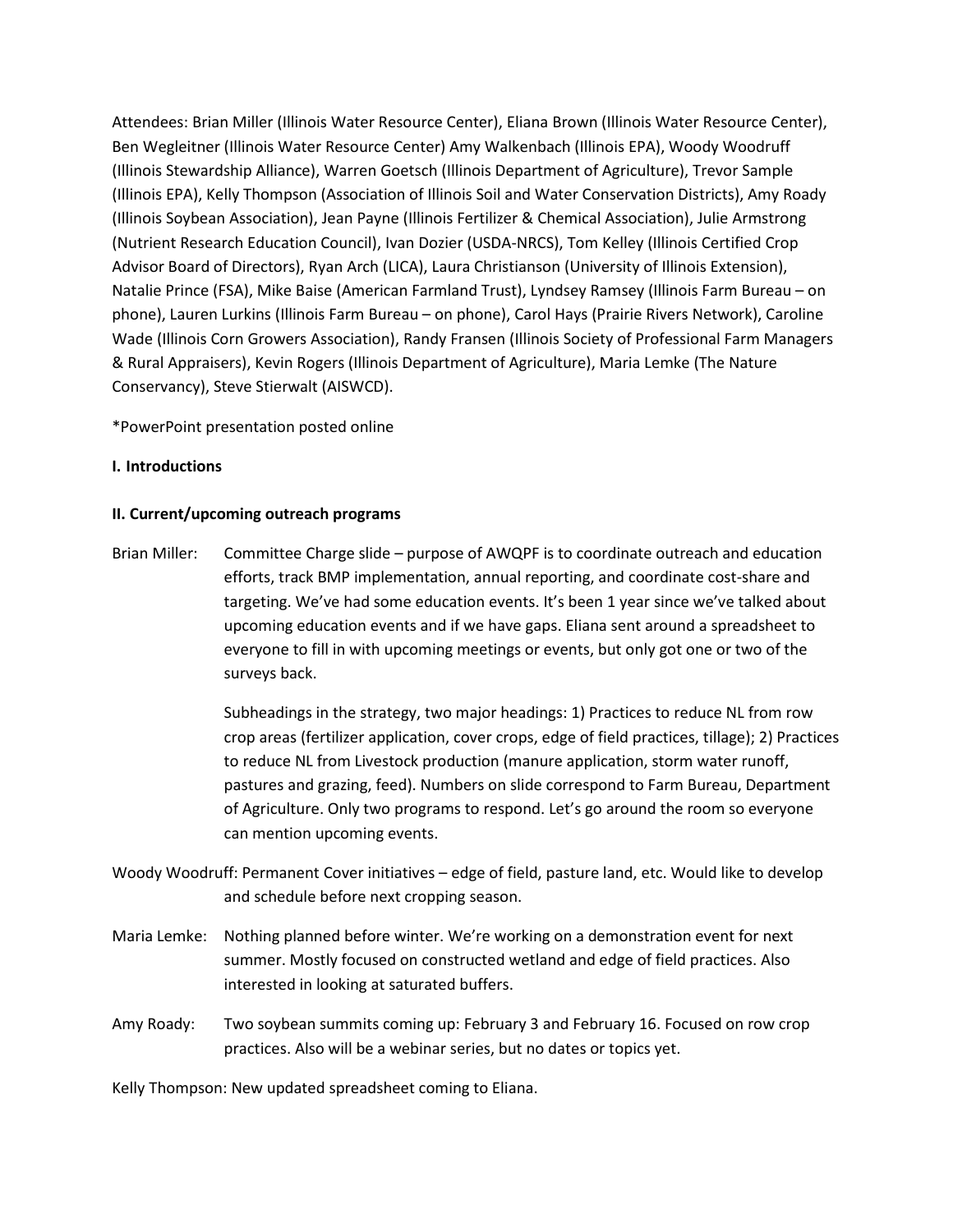Attendees: Brian Miller (Illinois Water Resource Center), Eliana Brown (Illinois Water Resource Center), Ben Wegleitner (Illinois Water Resource Center) Amy Walkenbach (Illinois EPA), Woody Woodruff (Illinois Stewardship Alliance), Warren Goetsch (Illinois Department of Agriculture), Trevor Sample (Illinois EPA), Kelly Thompson (Association of Illinois Soil and Water Conservation Districts), Amy Roady (Illinois Soybean Association), Jean Payne (Illinois Fertilizer & Chemical Association), Julie Armstrong (Nutrient Research Education Council), Ivan Dozier (USDA-NRCS), Tom Kelley (Illinois Certified Crop Advisor Board of Directors), Ryan Arch (LICA), Laura Christianson (University of Illinois Extension), Natalie Prince (FSA), Mike Baise (American Farmland Trust), Lyndsey Ramsey (Illinois Farm Bureau – on phone), Lauren Lurkins (Illinois Farm Bureau – on phone), Carol Hays (Prairie Rivers Network), Caroline Wade (Illinois Corn Growers Association), Randy Fransen (Illinois Society of Professional Farm Managers & Rural Appraisers), Kevin Rogers (Illinois Department of Agriculture), Maria Lemke (The Nature Conservancy), Steve Stierwalt (AISWCD).

\*PowerPoint presentation posted online

### **I. Introductions**

### **II. Current/upcoming outreach programs**

Brian Miller: Committee Charge slide – purpose of AWQPF is to coordinate outreach and education efforts, track BMP implementation, annual reporting, and coordinate cost-share and targeting. We've had some education events. It's been 1 year since we've talked about upcoming education events and if we have gaps. Eliana sent around a spreadsheet to everyone to fill in with upcoming meetings or events, but only got one or two of the surveys back.

> Subheadings in the strategy, two major headings: 1) Practices to reduce NL from row crop areas (fertilizer application, cover crops, edge of field practices, tillage); 2) Practices to reduce NL from Livestock production (manure application, storm water runoff, pastures and grazing, feed). Numbers on slide correspond to Farm Bureau, Department of Agriculture. Only two programs to respond. Let's go around the room so everyone can mention upcoming events.

- Woody Woodruff: Permanent Cover initiatives edge of field, pasture land, etc. Would like to develop and schedule before next cropping season.
- Maria Lemke: Nothing planned before winter. We're working on a demonstration event for next summer. Mostly focused on constructed wetland and edge of field practices. Also interested in looking at saturated buffers.
- Amy Roady: Two soybean summits coming up: February 3 and February 16. Focused on row crop practices. Also will be a webinar series, but no dates or topics yet.

Kelly Thompson: New updated spreadsheet coming to Eliana.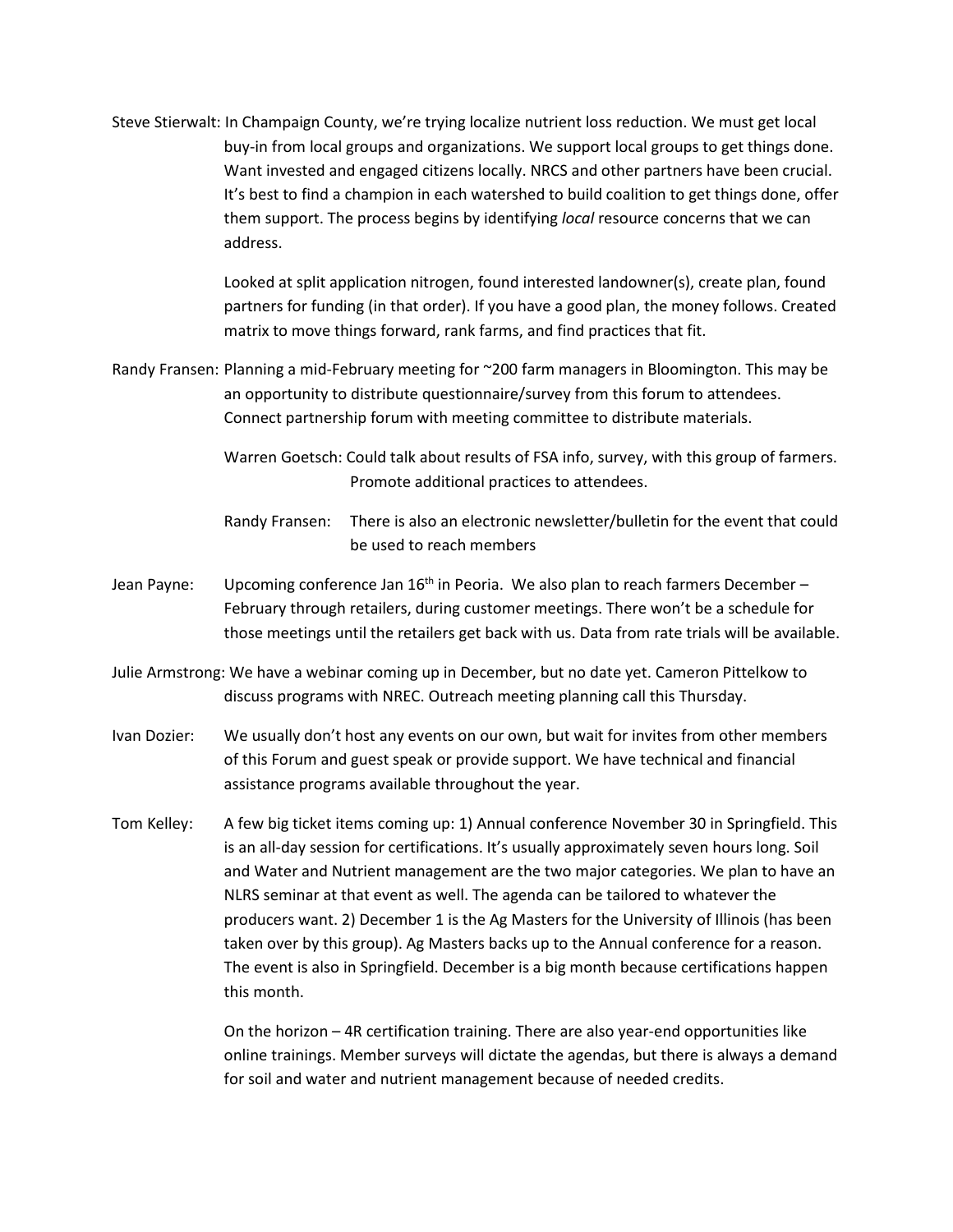Steve Stierwalt: In Champaign County, we're trying localize nutrient loss reduction. We must get local buy-in from local groups and organizations. We support local groups to get things done. Want invested and engaged citizens locally. NRCS and other partners have been crucial. It's best to find a champion in each watershed to build coalition to get things done, offer them support. The process begins by identifying *local* resource concerns that we can address.

> Looked at split application nitrogen, found interested landowner(s), create plan, found partners for funding (in that order). If you have a good plan, the money follows. Created matrix to move things forward, rank farms, and find practices that fit.

- Randy Fransen: Planning a mid-February meeting for ~200 farm managers in Bloomington. This may be an opportunity to distribute questionnaire/survey from this forum to attendees. Connect partnership forum with meeting committee to distribute materials.
	- Warren Goetsch: Could talk about results of FSA info, survey, with this group of farmers. Promote additional practices to attendees.
	- Randy Fransen: There is also an electronic newsletter/bulletin for the event that could be used to reach members
- Jean Payne: Upcoming conference Jan  $16<sup>th</sup>$  in Peoria. We also plan to reach farmers December February through retailers, during customer meetings. There won't be a schedule for those meetings until the retailers get back with us. Data from rate trials will be available.
- Julie Armstrong: We have a webinar coming up in December, but no date yet. Cameron Pittelkow to discuss programs with NREC. Outreach meeting planning call this Thursday.
- Ivan Dozier: We usually don't host any events on our own, but wait for invites from other members of this Forum and guest speak or provide support. We have technical and financial assistance programs available throughout the year.
- Tom Kelley: A few big ticket items coming up: 1) Annual conference November 30 in Springfield. This is an all-day session for certifications. It's usually approximately seven hours long. Soil and Water and Nutrient management are the two major categories. We plan to have an NLRS seminar at that event as well. The agenda can be tailored to whatever the producers want. 2) December 1 is the Ag Masters for the University of Illinois (has been taken over by this group). Ag Masters backs up to the Annual conference for a reason. The event is also in Springfield. December is a big month because certifications happen this month.

On the horizon – 4R certification training. There are also year-end opportunities like online trainings. Member surveys will dictate the agendas, but there is always a demand for soil and water and nutrient management because of needed credits.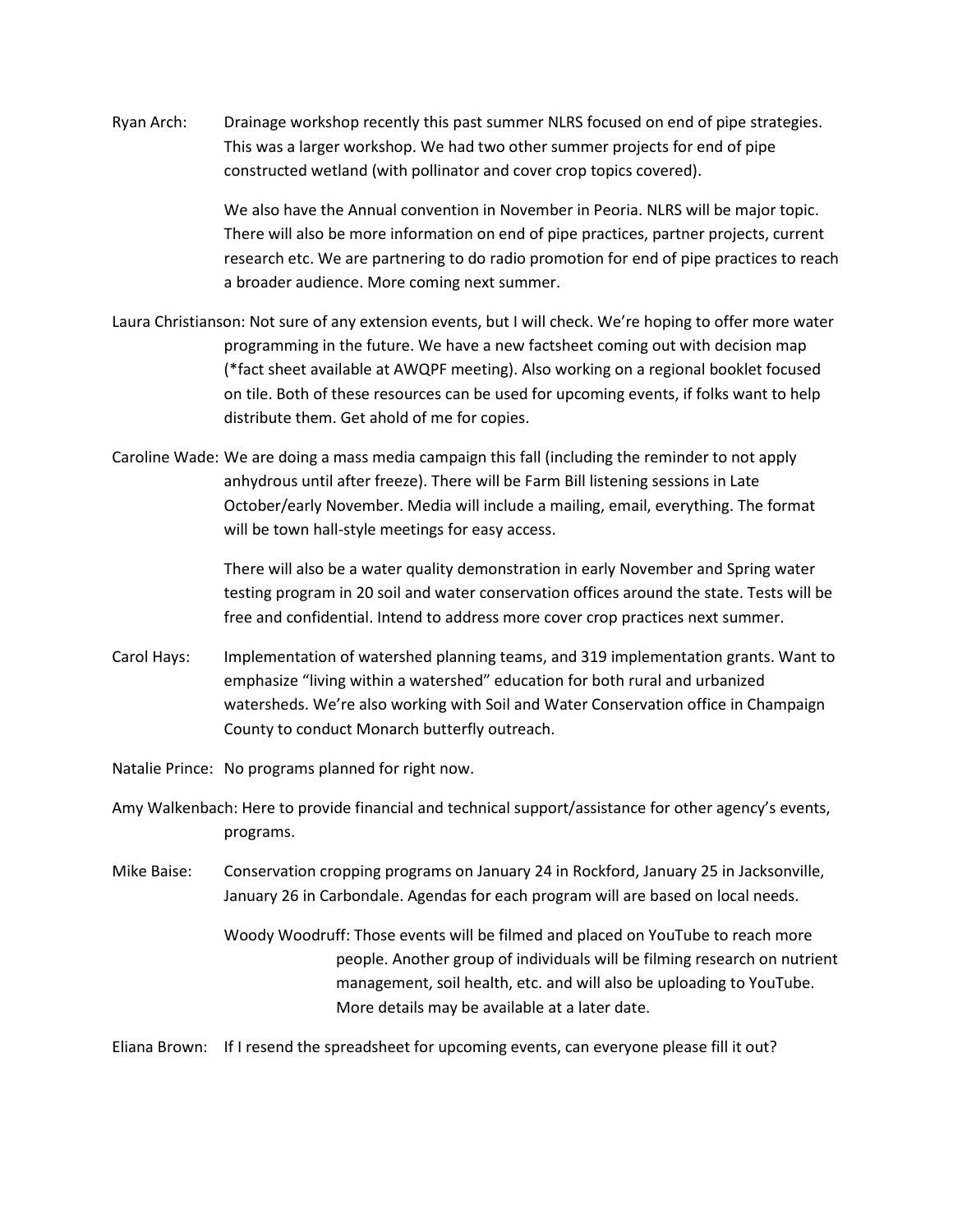Ryan Arch: Drainage workshop recently this past summer NLRS focused on end of pipe strategies. This was a larger workshop. We had two other summer projects for end of pipe constructed wetland (with pollinator and cover crop topics covered).

> We also have the Annual convention in November in Peoria. NLRS will be major topic. There will also be more information on end of pipe practices, partner projects, current research etc. We are partnering to do radio promotion for end of pipe practices to reach a broader audience. More coming next summer.

- Laura Christianson: Not sure of any extension events, but I will check. We're hoping to offer more water programming in the future. We have a new factsheet coming out with decision map (\*fact sheet available at AWQPF meeting). Also working on a regional booklet focused on tile. Both of these resources can be used for upcoming events, if folks want to help distribute them. Get ahold of me for copies.
- Caroline Wade: We are doing a mass media campaign this fall (including the reminder to not apply anhydrous until after freeze). There will be Farm Bill listening sessions in Late October/early November. Media will include a mailing, email, everything. The format will be town hall-style meetings for easy access.

There will also be a water quality demonstration in early November and Spring water testing program in 20 soil and water conservation offices around the state. Tests will be free and confidential. Intend to address more cover crop practices next summer.

Carol Hays: Implementation of watershed planning teams, and 319 implementation grants. Want to emphasize "living within a watershed" education for both rural and urbanized watersheds. We're also working with Soil and Water Conservation office in Champaign County to conduct Monarch butterfly outreach.

Natalie Prince: No programs planned for right now.

- Amy Walkenbach: Here to provide financial and technical support/assistance for other agency's events, programs.
- Mike Baise: Conservation cropping programs on January 24 in Rockford, January 25 in Jacksonville, January 26 in Carbondale. Agendas for each program will are based on local needs.
	- Woody Woodruff: Those events will be filmed and placed on YouTube to reach more people. Another group of individuals will be filming research on nutrient management, soil health, etc. and will also be uploading to YouTube. More details may be available at a later date.

Eliana Brown: If I resend the spreadsheet for upcoming events, can everyone please fill it out?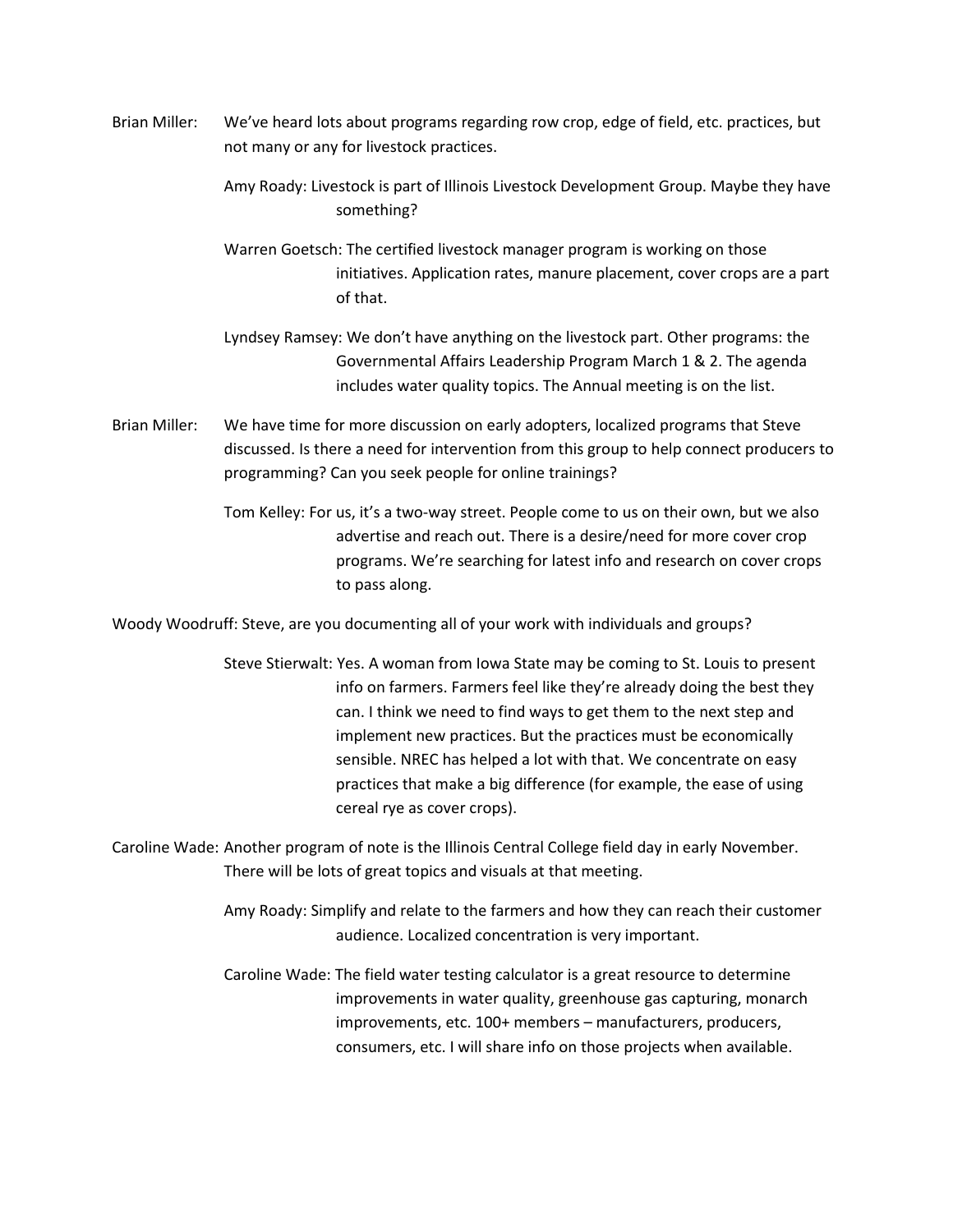- Brian Miller: We've heard lots about programs regarding row crop, edge of field, etc. practices, but not many or any for livestock practices.
	- Amy Roady: Livestock is part of Illinois Livestock Development Group. Maybe they have something?
	- Warren Goetsch: The certified livestock manager program is working on those initiatives. Application rates, manure placement, cover crops are a part of that.
	- Lyndsey Ramsey: We don't have anything on the livestock part. Other programs: the Governmental Affairs Leadership Program March 1 & 2. The agenda includes water quality topics. The Annual meeting is on the list.
- Brian Miller: We have time for more discussion on early adopters, localized programs that Steve discussed. Is there a need for intervention from this group to help connect producers to programming? Can you seek people for online trainings?
	- Tom Kelley: For us, it's a two-way street. People come to us on their own, but we also advertise and reach out. There is a desire/need for more cover crop programs. We're searching for latest info and research on cover crops to pass along.

Woody Woodruff: Steve, are you documenting all of your work with individuals and groups?

Steve Stierwalt: Yes. A woman from Iowa State may be coming to St. Louis to present info on farmers. Farmers feel like they're already doing the best they can. I think we need to find ways to get them to the next step and implement new practices. But the practices must be economically sensible. NREC has helped a lot with that. We concentrate on easy practices that make a big difference (for example, the ease of using cereal rye as cover crops).

Caroline Wade: Another program of note is the Illinois Central College field day in early November. There will be lots of great topics and visuals at that meeting.

> Amy Roady: Simplify and relate to the farmers and how they can reach their customer audience. Localized concentration is very important.

Caroline Wade: The field water testing calculator is a great resource to determine improvements in water quality, greenhouse gas capturing, monarch improvements, etc. 100+ members – manufacturers, producers, consumers, etc. I will share info on those projects when available.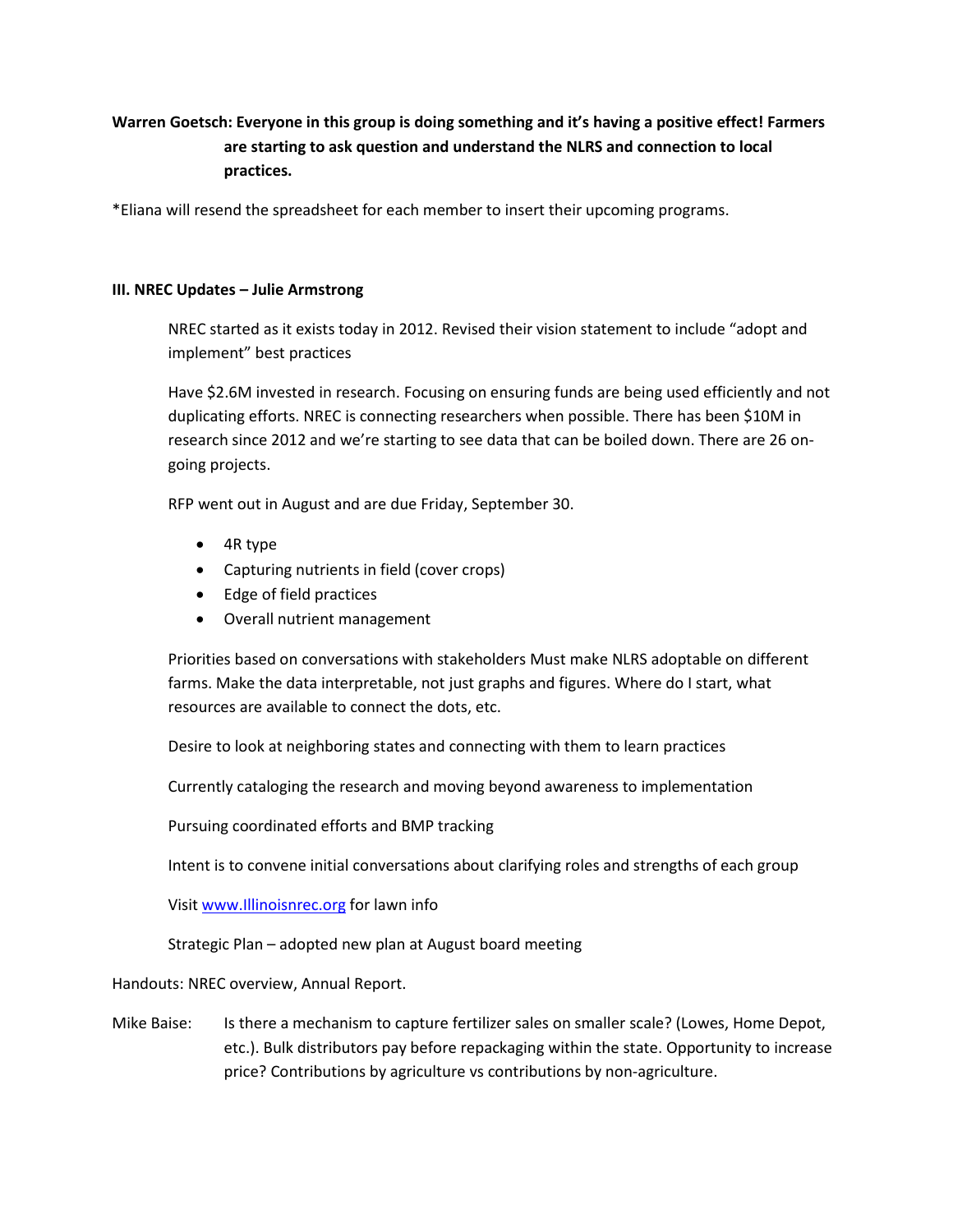## **Warren Goetsch: Everyone in this group is doing something and it's having a positive effect! Farmers are starting to ask question and understand the NLRS and connection to local practices.**

\*Eliana will resend the spreadsheet for each member to insert their upcoming programs.

### **III. NREC Updates – Julie Armstrong**

NREC started as it exists today in 2012. Revised their vision statement to include "adopt and implement" best practices

Have \$2.6M invested in research. Focusing on ensuring funds are being used efficiently and not duplicating efforts. NREC is connecting researchers when possible. There has been \$10M in research since 2012 and we're starting to see data that can be boiled down. There are 26 ongoing projects.

RFP went out in August and are due Friday, September 30.

- 4R type
- Capturing nutrients in field (cover crops)
- Edge of field practices
- Overall nutrient management

Priorities based on conversations with stakeholders Must make NLRS adoptable on different farms. Make the data interpretable, not just graphs and figures. Where do I start, what resources are available to connect the dots, etc.

Desire to look at neighboring states and connecting with them to learn practices

Currently cataloging the research and moving beyond awareness to implementation

Pursuing coordinated efforts and BMP tracking

Intent is to convene initial conversations about clarifying roles and strengths of each group

Visit [www.Illinoisnrec.org](http://www.illinoisnrec.org/) for lawn info

Strategic Plan – adopted new plan at August board meeting

Handouts: NREC overview, Annual Report.

Mike Baise: Is there a mechanism to capture fertilizer sales on smaller scale? (Lowes, Home Depot, etc.). Bulk distributors pay before repackaging within the state. Opportunity to increase price? Contributions by agriculture vs contributions by non-agriculture.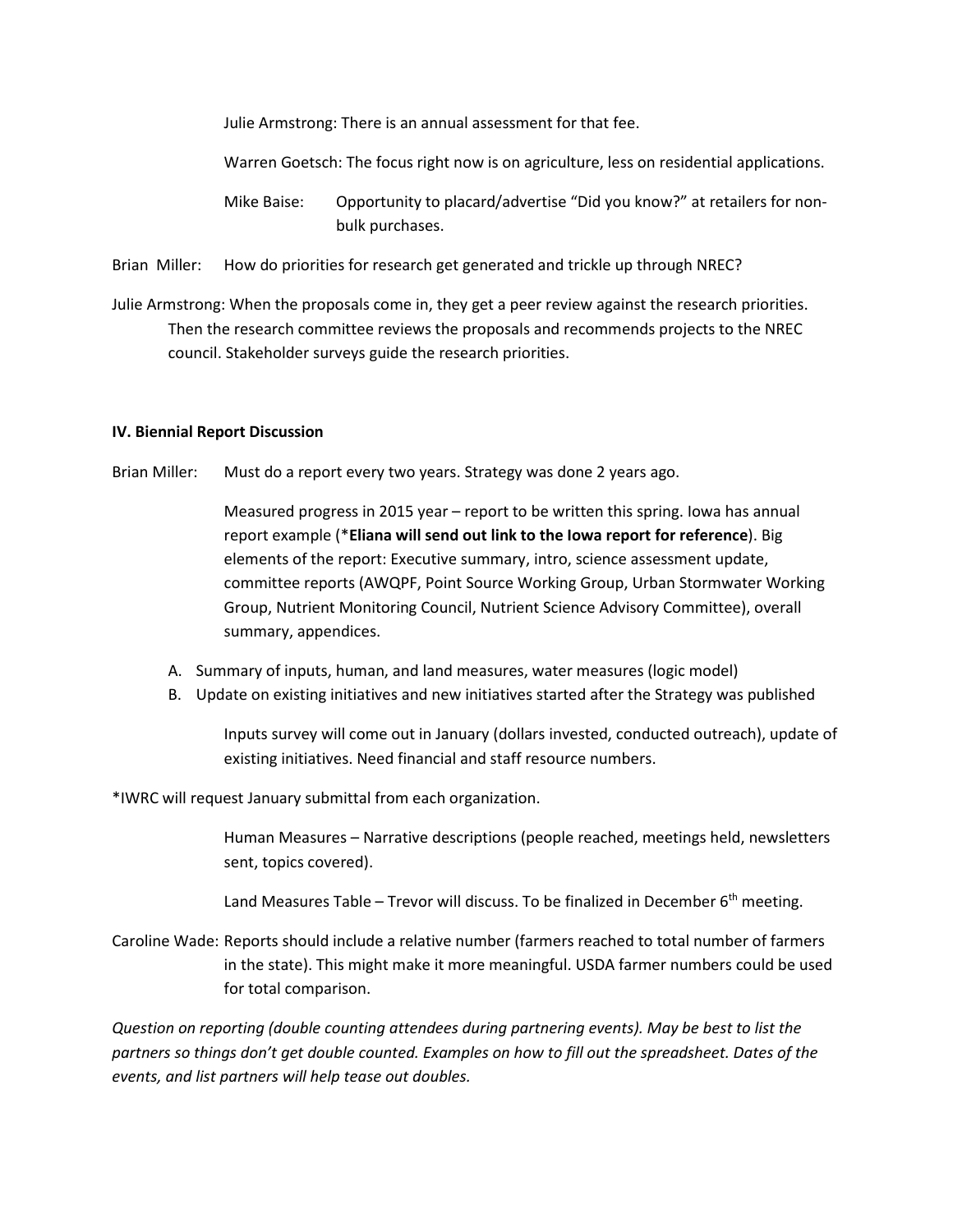Julie Armstrong: There is an annual assessment for that fee.

Warren Goetsch: The focus right now is on agriculture, less on residential applications.

Mike Baise: Opportunity to placard/advertise "Did you know?" at retailers for nonbulk purchases.

Brian Miller: How do priorities for research get generated and trickle up through NREC?

Julie Armstrong: When the proposals come in, they get a peer review against the research priorities. Then the research committee reviews the proposals and recommends projects to the NREC council. Stakeholder surveys guide the research priorities.

### **IV. Biennial Report Discussion**

Brian Miller: Must do a report every two years. Strategy was done 2 years ago.

Measured progress in 2015 year – report to be written this spring. Iowa has annual report example (\***Eliana will send out link to the Iowa report for reference**). Big elements of the report: Executive summary, intro, science assessment update, committee reports (AWQPF, Point Source Working Group, Urban Stormwater Working Group, Nutrient Monitoring Council, Nutrient Science Advisory Committee), overall summary, appendices.

- A. Summary of inputs, human, and land measures, water measures (logic model)
- B. Update on existing initiatives and new initiatives started after the Strategy was published

Inputs survey will come out in January (dollars invested, conducted outreach), update of existing initiatives. Need financial and staff resource numbers.

\*IWRC will request January submittal from each organization.

Human Measures – Narrative descriptions (people reached, meetings held, newsletters sent, topics covered).

Land Measures Table – Trevor will discuss. To be finalized in December  $6<sup>th</sup>$  meeting.

Caroline Wade: Reports should include a relative number (farmers reached to total number of farmers in the state). This might make it more meaningful. USDA farmer numbers could be used for total comparison.

*Question on reporting (double counting attendees during partnering events). May be best to list the partners so things don't get double counted. Examples on how to fill out the spreadsheet. Dates of the events, and list partners will help tease out doubles.*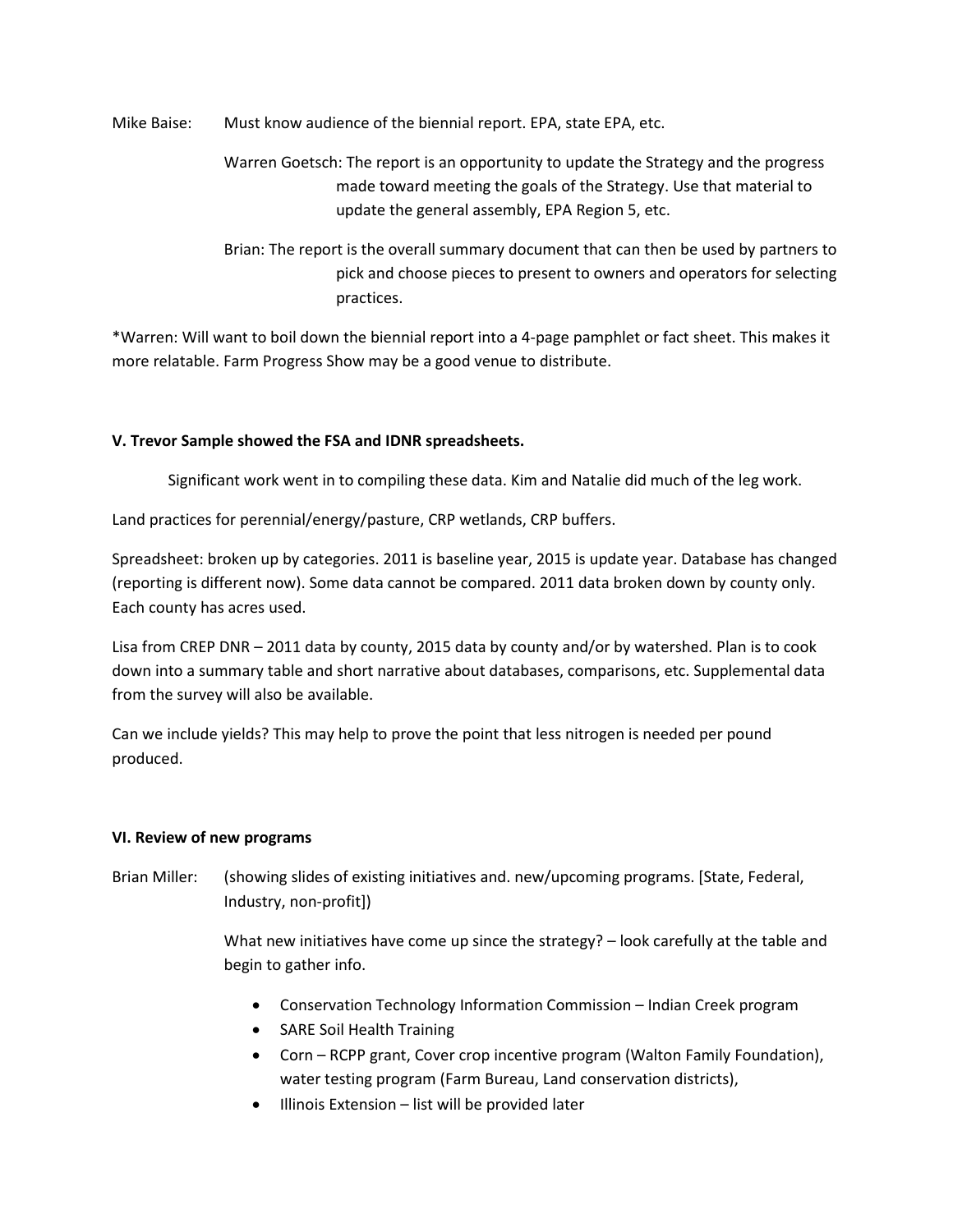Mike Baise: Must know audience of the biennial report. EPA, state EPA, etc.

- Warren Goetsch: The report is an opportunity to update the Strategy and the progress made toward meeting the goals of the Strategy. Use that material to update the general assembly, EPA Region 5, etc.
- Brian: The report is the overall summary document that can then be used by partners to pick and choose pieces to present to owners and operators for selecting practices.

\*Warren: Will want to boil down the biennial report into a 4-page pamphlet or fact sheet. This makes it more relatable. Farm Progress Show may be a good venue to distribute.

## **V. Trevor Sample showed the FSA and IDNR spreadsheets.**

Significant work went in to compiling these data. Kim and Natalie did much of the leg work.

Land practices for perennial/energy/pasture, CRP wetlands, CRP buffers.

Spreadsheet: broken up by categories. 2011 is baseline year, 2015 is update year. Database has changed (reporting is different now). Some data cannot be compared. 2011 data broken down by county only. Each county has acres used.

Lisa from CREP DNR – 2011 data by county, 2015 data by county and/or by watershed. Plan is to cook down into a summary table and short narrative about databases, comparisons, etc. Supplemental data from the survey will also be available.

Can we include yields? This may help to prove the point that less nitrogen is needed per pound produced.

### **VI. Review of new programs**

Brian Miller: (showing slides of existing initiatives and. new/upcoming programs. [State, Federal, Industry, non-profit])

> What new initiatives have come up since the strategy? - look carefully at the table and begin to gather info.

- Conservation Technology Information Commission Indian Creek program
- SARE Soil Health Training
- Corn RCPP grant, Cover crop incentive program (Walton Family Foundation), water testing program (Farm Bureau, Land conservation districts),
- Illinois Extension list will be provided later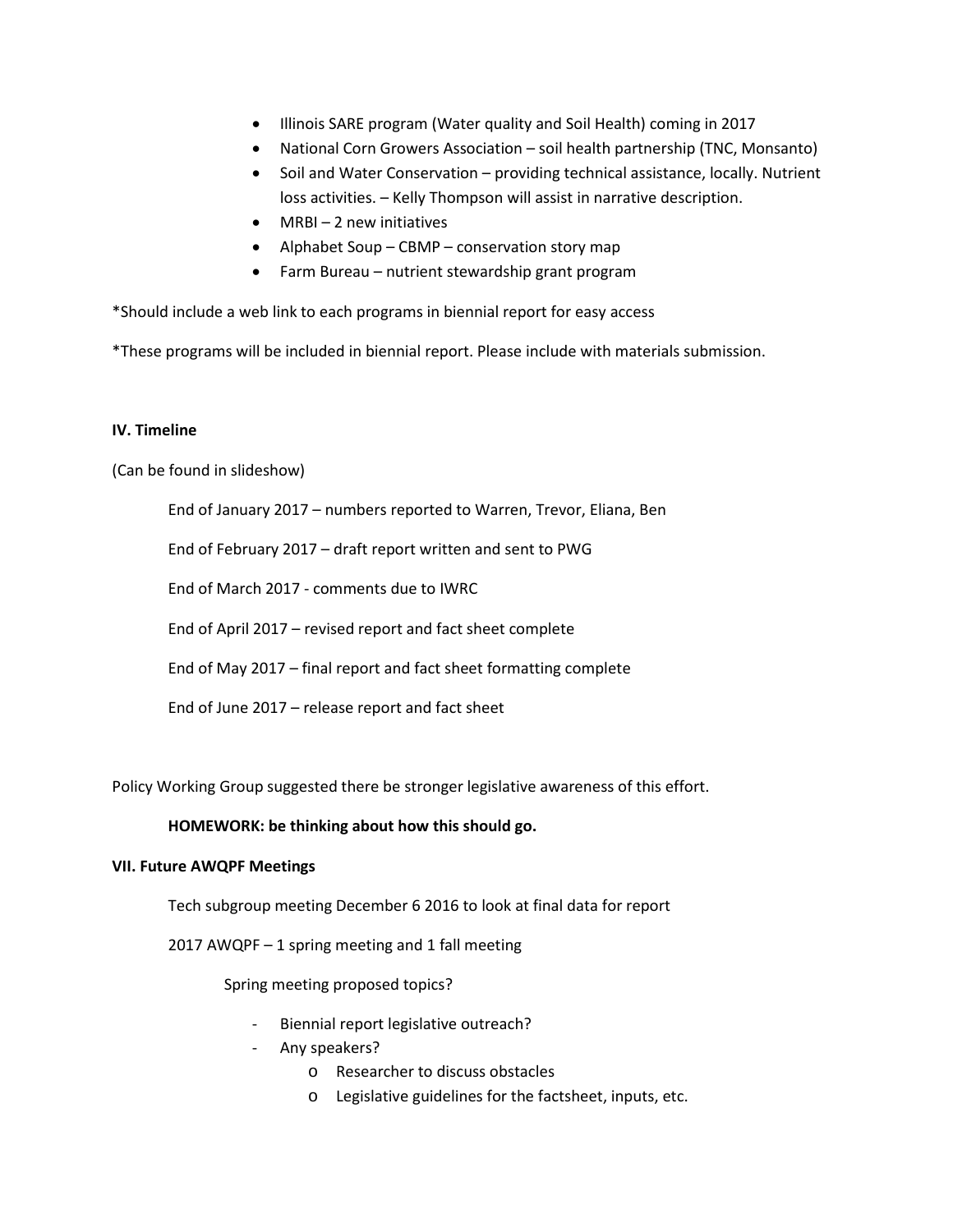- Illinois SARE program (Water quality and Soil Health) coming in 2017
- National Corn Growers Association soil health partnership (TNC, Monsanto)
- Soil and Water Conservation providing technical assistance, locally. Nutrient loss activities. – Kelly Thompson will assist in narrative description.
- MRBI-2 new initiatives
- Alphabet Soup CBMP conservation story map
- Farm Bureau nutrient stewardship grant program

\*Should include a web link to each programs in biennial report for easy access

\*These programs will be included in biennial report. Please include with materials submission.

### **IV. Timeline**

(Can be found in slideshow)

End of January 2017 – numbers reported to Warren, Trevor, Eliana, Ben

End of February 2017 – draft report written and sent to PWG

End of March 2017 - comments due to IWRC

End of April 2017 – revised report and fact sheet complete

End of May 2017 – final report and fact sheet formatting complete

End of June 2017 – release report and fact sheet

Policy Working Group suggested there be stronger legislative awareness of this effort.

### **HOMEWORK: be thinking about how this should go.**

### **VII. Future AWQPF Meetings**

Tech subgroup meeting December 6 2016 to look at final data for report

2017 AWQPF – 1 spring meeting and 1 fall meeting

Spring meeting proposed topics?

- Biennial report legislative outreach?
- Any speakers?
	- o Researcher to discuss obstacles
	- o Legislative guidelines for the factsheet, inputs, etc.